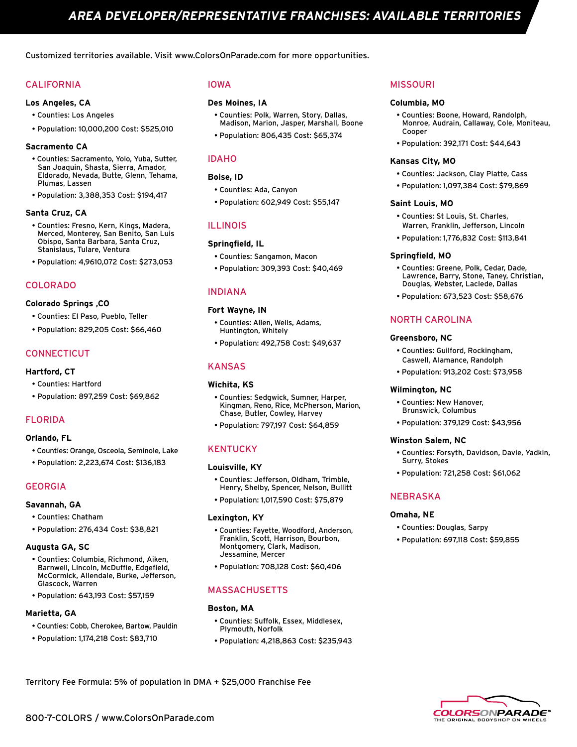Customized territories available. Visit www.ColorsOnParade.com for more opportunities.

# CALIFORNIA

## **Los Angeles, CA**

- Counties: Los Angeles
- Population: 10,000,200 Cost: \$525,010

## **Sacramento CA**

- Counties: Sacramento, Yolo, Yuba, Sutter, San Joaquin, Shasta, Sierra, Amador, Eldorado, Nevada, Butte, Glenn, Tehama, Plumas, Lassen
- Population: 3,388,353 Cost: \$194,417

## **Santa Cruz, CA**

- Counties: Fresno, Kern, Kings, Madera, Merced, Monterey, San Benito, San Luis Obispo, Santa Barbara, Santa Cruz, Stanislaus, Tulare, Ventura
- Population: 4,9610,072 Cost: \$273,053

# COLORADO

#### **Colorado Springs ,CO**

- Counties: El Paso, Pueblo, Teller
- Population: 829,205 Cost: \$66,460

# **CONNECTICUT**

### **Hartford, CT**

- Counties: Hartford
- Population: 897,259 Cost: \$69,862

# FLORIDA

#### **Orlando, FL**

- Counties: Orange, Osceola, Seminole, Lake
- Population: 2,223,674 Cost: \$136,183

## GEORGIA

#### **Savannah, GA**

- Counties: Chatham
- Population: 276,434 Cost: \$38,821

#### **Augusta GA, SC**

- Counties: Columbia, Richmond, Aiken, Barnwell, Lincoln, McDuffie, Edgefield, McCormick, Allendale, Burke, Jefferson, Glascock, Warren
- Population: 643,193 Cost: \$57,159

## **Marietta, GA**

- Counties: Cobb, Cherokee, Bartow, Pauldin
- Population: 1,174,218 Cost: \$83,710

# IOWA

# **Des Moines, IA**

- Counties: Polk, Warren, Story, Dallas, Madison, Marion, Jasper, Marshall, Boone
- Population: 806,435 Cost: \$65,374

# IDAHO

# **Boise, ID**

- Counties: Ada, Canyon
- Population: 602,949 Cost: \$55,147

# ILLINOIS

# **Springfield, IL**

- Counties: Sangamon, Macon
- Population: 309,393 Cost: \$40,469

# INDIANA

#### **Fort Wayne, IN**

- Counties: Allen, Wells, Adams, Huntington, Whitely
- Population: 492,758 Cost: \$49,637

# KANSAS

## **Wichita, KS**

- Counties: Sedgwick, Sumner, Harper, Kingman, Reno, Rice, McPherson, Marion, Chase, Butler, Cowley, Harvey
- Population: 797,197 Cost: \$64,859

# **KENTUCKY**

## **Louisville, KY**

- Counties: Jefferson, Oldham, Trimble, Henry, Shelby, Spencer, Nelson, Bullitt
- Population: 1,017,590 Cost: \$75,879

#### **Lexington, KY**

- Counties: Fayette, Woodford, Anderson, Franklin, Scott, Harrison, Bourbon, Montgomery, Clark, Madison, Jessamine, Mercer
- Population: 708,128 Cost: \$60,406

## MASSACHUSETTS

#### **Boston, MA**

- Counties: Suffolk, Essex, Middlesex, Plymouth, Norfolk
- Population: 4,218,863 Cost: \$235,943

## MISSOURI

#### **Columbia, MO**

- Counties: Boone, Howard, Randolph, Monroe, Audrain, Callaway, Cole, Moniteau, Cooper
- Population: 392,171 Cost: \$44,643

#### **Kansas City, MO**

- Counties: Jackson, Clay Platte, Cass
- Population: 1,097,384 Cost: \$79,869

#### **Saint Louis, MO**

- Counties: St Louis, St. Charles, Warren, Franklin, Jefferson, Lincoln
- Population: 1,776,832 Cost: \$113,841

## **Springfield, MO**

- Counties: Greene, Polk, Cedar, Dade, Lawrence, Barry, Stone, Taney, Christian, Douglas, Webster, Laclede, Dallas
- Population: 673,523 Cost: \$58,676

# NORTH CAROLINA

#### **Greensboro, NC**

- Counties: Guilford, Rockingham, Caswell, Alamance, Randolph
- Population: 913,202 Cost: \$73,958

#### **Wilmington, NC**

- Counties: New Hanover, Brunswick, Columbus
- Population: 379,129 Cost: \$43,956

#### **Winston Salem, NC**

- Counties: Forsyth, Davidson, Davie, Yadkin, Surry, Stokes
- Population: 721,258 Cost: \$61,062

## NEBRASKA

#### **Omaha, NE**

- Counties: Douglas, Sarpy
- Population: 697,118 Cost: \$59,855



Territory Fee Formula: 5% of population in DMA + \$25,000 Franchise Fee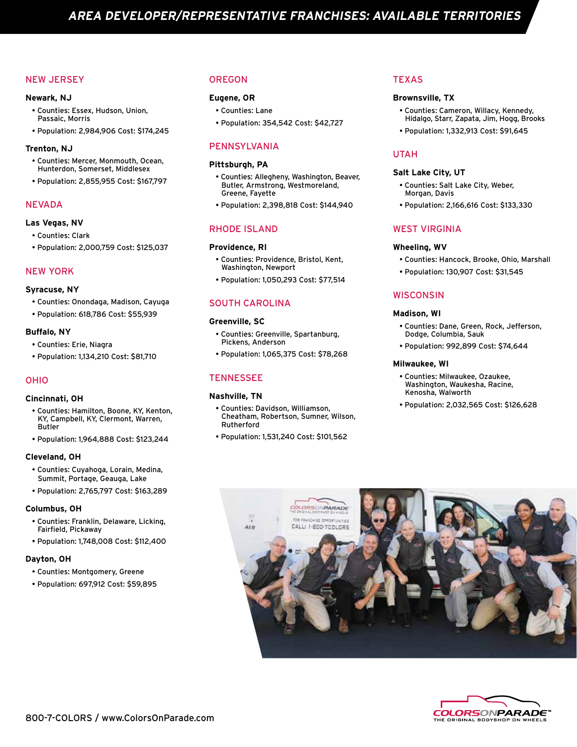# NEW JERSEY

#### **Newark, NJ**

- Counties: Essex, Hudson, Union, Passaic, Morris
- Population: 2,984,906 Cost: \$174,245

#### **Trenton, NJ**

- Counties: Mercer, Monmouth, Ocean, Hunterdon, Somerset, Middlesex
- Population: 2,855,955 Cost: \$167,797

## NEVADA

#### **Las Vegas, NV**

- Counties: Clark
- Population: 2,000,759 Cost: \$125,037

# NEW YORK

#### **Syracuse, NY**

- Counties: Onondaga, Madison, Cayuga
- Population: 618,786 Cost: \$55,939

#### **Buffalo, NY**

- Counties: Erie, Niagra
- Population: 1,134,210 Cost: \$81,710

## OHIO

#### **Cincinnati, OH**

- Counties: Hamilton, Boone, KY, Kenton, KY, Campbell, KY, Clermont, Warren, Butler
- Population: 1,964,888 Cost: \$123,244

#### **Cleveland, OH**

- Counties: Cuyahoga, Lorain, Medina, Summit, Portage, Geauga, Lake
- Population: 2,765,797 Cost: \$163,289

#### **Columbus, OH**

- Counties: Franklin, Delaware, Licking, Fairfield, Pickaway
- Population: 1,748,008 Cost: \$112,400

#### **Dayton, OH**

- Counties: Montgomery, Greene
- Population: 697,912 Cost: \$59,895

# OREGON

# **Eugene, OR**

- Counties: Lane
- Population: 354,542 Cost: \$42,727

## PENNSYLVANIA

#### **Pittsburgh, PA**

- Counties: Allegheny, Washington, Beaver, Butler, Armstrong, Westmoreland, Greene, Fayette
- Population: 2,398,818 Cost: \$144,940

#### RHODE ISLAND

### **Providence, RI**

- Counties: Providence, Bristol, Kent, Washington, Newport
- Population: 1,050,293 Cost: \$77,514

# SOUTH CAROLINA

#### **Greenville, SC**

- Counties: Greenville, Spartanburg, Pickens, Anderson
- Population: 1,065,375 Cost: \$78,268

# **TENNESSEE**

#### **Nashville, TN**

- Counties: Davidson, Williamson, Cheatham, Robertson, Sumner, Wilson, Rutherford
- Population: 1,531,240 Cost: \$101,562

# **TEXAS**

#### **Brownsville, TX**

- Counties: Cameron, Willacy, Kennedy, Hidalgo, Starr, Zapata, Jim, Hogg, Brooks
- Population: 1,332,913 Cost: \$91,645

# UTAH

#### **Salt Lake City, UT**

- Counties: Salt Lake City, Weber, Morgan, Davis
- Population: 2,166,616 Cost: \$133,330

## WEST VIRGINIA

#### **Wheeling, WV**

- Counties: Hancock, Brooke, Ohio, Marshall
- Population: 130,907 Cost: \$31,545

# **WISCONSIN**

#### **Madison, WI**

- Counties: Dane, Green, Rock, Jefferson, Dodge, Columbia, Sauk
- Population: 992,899 Cost: \$74,644

#### **Milwaukee, WI**

- Counties: Milwaukee, Ozaukee, Washington, Waukesha, Racine, Kenosha, Walworth
- Population: 2,032,565 Cost: \$126,628



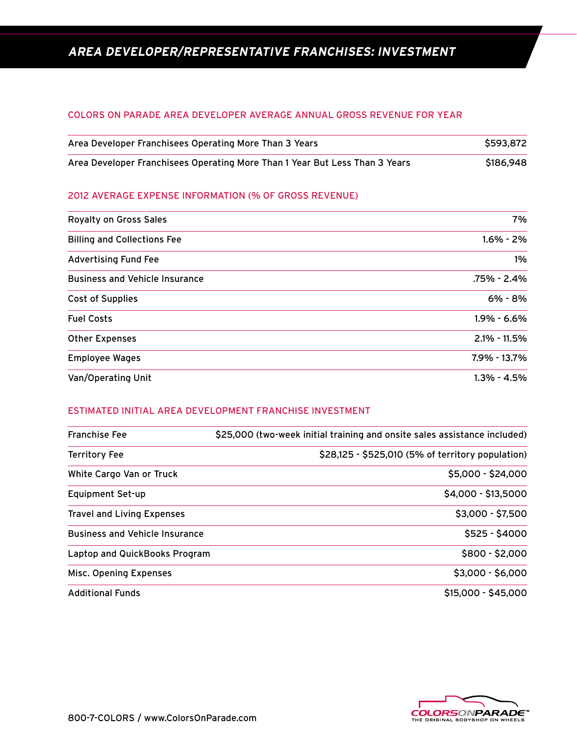# **AREA DEVELOPER/REPRESENTATIVE FRANCHISES: INVESTMENT**

# COLORS ON PARADE AREA DEVELOPER AVERAGE ANNUAL GROSS REVENUE FOR YEAR

| Area Developer Franchisees Operating More Than 3 Years                      | \$593.872 |
|-----------------------------------------------------------------------------|-----------|
| Area Developer Franchisees Operating More Than 1 Year But Less Than 3 Years | \$186,948 |

# 2012 AVERAGE EXPENSE INFORMATION (% OF GROSS REVENUE)

| <b>Royalty on Gross Sales</b>         | 7%               |
|---------------------------------------|------------------|
| <b>Billing and Collections Fee</b>    | $1.6\% - 2\%$    |
| <b>Advertising Fund Fee</b>           | $1\%$            |
| <b>Business and Vehicle Insurance</b> | .75% - 2.4%      |
| Cost of Supplies                      | 6% - 8%          |
| <b>Fuel Costs</b>                     | $1.9\% - 6.6\%$  |
| <b>Other Expenses</b>                 | $2.1\% - 11.5\%$ |
| <b>Employee Wages</b>                 | 7.9% - 13.7%     |
| Van/Operating Unit                    | $1.3\% - 4.5\%$  |

# ESTIMATED INITIAL AREA DEVELOPMENT FRANCHISE INVESTMENT

| <b>Franchise Fee</b>                  | \$25,000 (two-week initial training and onsite sales assistance included)<br>\$28,125 - \$525,010 (5% of territory population) |  |
|---------------------------------------|--------------------------------------------------------------------------------------------------------------------------------|--|
| <b>Territory Fee</b>                  |                                                                                                                                |  |
| White Cargo Van or Truck              | \$5,000 - \$24,000                                                                                                             |  |
| Equipment Set-up                      | \$4,000 - \$13,5000                                                                                                            |  |
| <b>Travel and Living Expenses</b>     | $$3,000 - $7,500$                                                                                                              |  |
| <b>Business and Vehicle Insurance</b> | $$525 - $4000$                                                                                                                 |  |
| Laptop and QuickBooks Program         | \$800 - \$2,000                                                                                                                |  |
| Misc. Opening Expenses                | $$3,000 - $6,000$                                                                                                              |  |
| <b>Additional Funds</b>               | \$15,000 - \$45,000                                                                                                            |  |

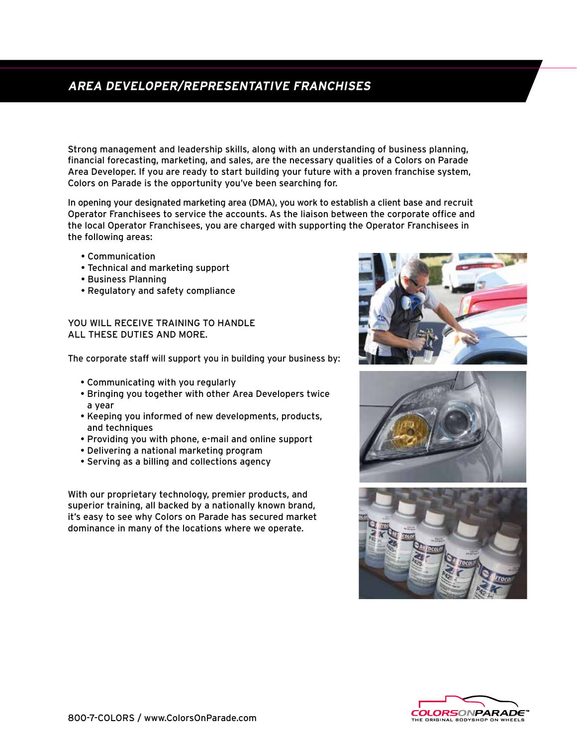# **AREA DEVELOPER/REPRESENTATIVE FRANCHISES**

Strong management and leadership skills, along with an understanding of business planning, financial forecasting, marketing, and sales, are the necessary qualities of a Colors on Parade Area Developer. If you are ready to start building your future with a proven franchise system, Colors on Parade is the opportunity you've been searching for.

In opening your designated marketing area (DMA), you work to establish a client base and recruit Operator Franchisees to service the accounts. As the liaison between the corporate office and the local Operator Franchisees, you are charged with supporting the Operator Franchisees in the following areas:

- Communication
- Technical and marketing support
- Business Planning
- Regulatory and safety compliance

YOU WILL RECEIVE TRAINING TO HANDLE ALL THESE DUTIES AND MORE.

The corporate staff will support you in building your business by:

- Communicating with you regularly
- Bringing you together with other Area Developers twice a year
- Keeping you informed of new developments, products, and techniques
- Providing you with phone, e-mail and online support
- Delivering a national marketing program
- Serving as a billing and collections agency

With our proprietary technology, premier products, and superior training, all backed by a nationally known brand, it's easy to see why Colors on Parade has secured market dominance in many of the locations where we operate.







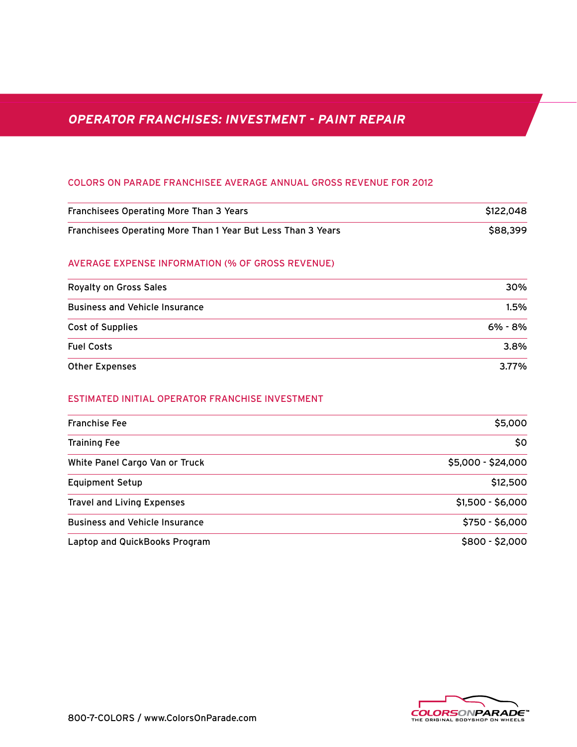# **OPERATOR FRANCHISES: INVESTMENT - PAINT REPAIR**

# COLORS ON PARADE FRANCHISEE AVERAGE ANNUAL GROSS REVENUE FOR 2012

| Franchisees Operating More Than 3 Years                      | \$122,048          |
|--------------------------------------------------------------|--------------------|
| Franchisees Operating More Than 1 Year But Less Than 3 Years | \$88,399           |
| <b>AVERAGE EXPENSE INFORMATION (% OF GROSS REVENUE)</b>      |                    |
| <b>Royalty on Gross Sales</b>                                | 30%                |
| <b>Business and Vehicle Insurance</b>                        | 1.5%               |
| <b>Cost of Supplies</b>                                      | 6% - 8%            |
| <b>Fuel Costs</b>                                            | 3.8%               |
| <b>Other Expenses</b>                                        | 3.77%              |
| <b>ESTIMATED INITIAL OPERATOR FRANCHISE INVESTMENT</b>       |                    |
| <b>Franchise Fee</b>                                         | \$5,000            |
| <b>Training Fee</b>                                          | \$0                |
| White Panel Cargo Van or Truck                               | \$5,000 - \$24,000 |
| <b>Equipment Setup</b>                                       | \$12,500           |
| <b>Travel and Living Expenses</b>                            | $$1,500 - $6,000$  |
| <b>Business and Vehicle Insurance</b>                        | $$750 - $6,000$    |
| Laptop and QuickBooks Program                                | $$800 - $2,000$    |

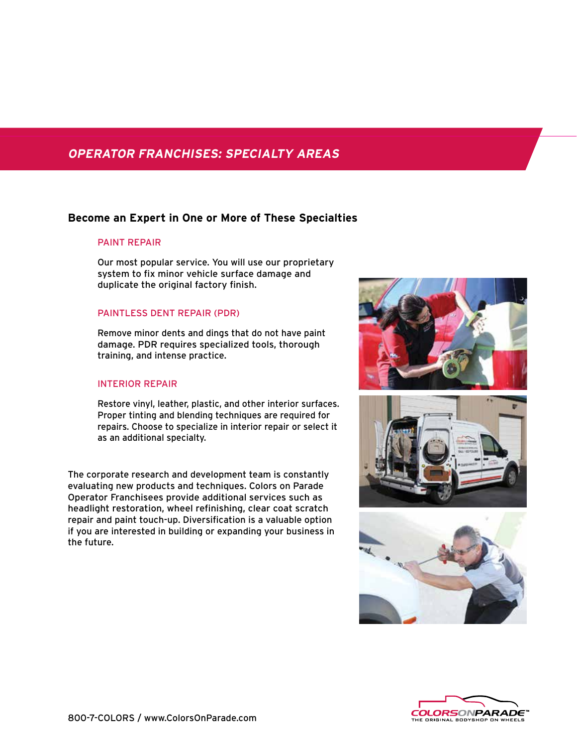# **OPERATOR FRANCHISES: SPECIALTY AREAS**

# **Become an Expert in One or More of These Specialties**

# PAINT REPAIR

Our most popular service. You will use our proprietary system to fix minor vehicle surface damage and duplicate the original factory finish.

# PAINTLESS DENT REPAIR (PDR)

Remove minor dents and dings that do not have paint damage. PDR requires specialized tools, thorough training, and intense practice.

# INTERIOR REPAIR

Restore vinyl, leather, plastic, and other interior surfaces. Proper tinting and blending techniques are required for repairs. Choose to specialize in interior repair or select it as an additional specialty.

The corporate research and development team is constantly evaluating new products and techniques. Colors on Parade Operator Franchisees provide additional services such as headlight restoration, wheel refinishing, clear coat scratch repair and paint touch-up. Diversification is a valuable option if you are interested in building or expanding your business in the future.